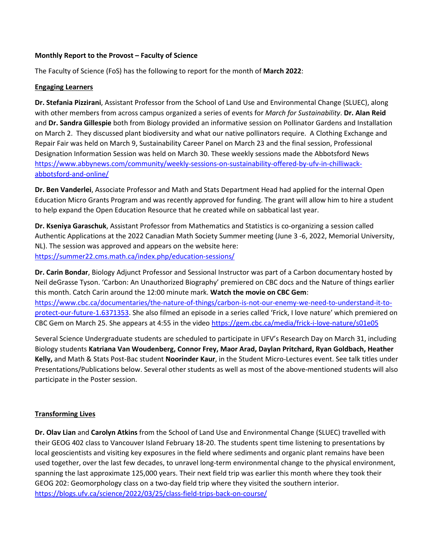### **Monthly Report to the Provost – Faculty of Science**

The Faculty of Science (FoS) has the following to report for the month of **March 2022**:

### **Engaging Learners**

**Dr. Stefania Pizzirani**, Assistant Professor from the School of Land Use and Environmental Change (SLUEC), along with other members from across campus organized a series of events for *March for Sustainability*. **Dr. Alan Reid** and **Dr. Sandra Gillespie** both from Biology provided an informative session on Pollinator Gardens and Installation on March 2. They discussed plant biodiversity and what our native pollinators require. A Clothing Exchange and Repair Fair was held on March 9, Sustainability Career Panel on March 23 and the final session, Professional Designation Information Session was held on March 30. These weekly sessions made the Abbotsford News [https://www.abbynews.com/community/weekly-sessions-on-sustainability-offered-by-ufv-in-chilliwack](https://www.abbynews.com/community/weekly-sessions-on-sustainability-offered-by-ufv-in-chilliwack-abbotsford-and-online/)[abbotsford-and-online/](https://www.abbynews.com/community/weekly-sessions-on-sustainability-offered-by-ufv-in-chilliwack-abbotsford-and-online/) 

**Dr. Ben Vanderlei**, Associate Professor and Math and Stats Department Head had applied for the internal Open Education Micro Grants Program and was recently approved for funding. The grant will allow him to hire a student to help expand the Open Education Resource that he created while on sabbatical last year.

**Dr. Kseniya Garaschuk**, Assistant Professor from Mathematics and Statistics is co-organizing a session called Authentic Applications at the 2022 Canadian Math Society Summer meeting (June 3 -6, 2022, Memorial University, NL). The session was approved and appears on the website here: [https://summer22.cms.math.ca/index.php/education-sessions/](https://can01.safelinks.protection.outlook.com/?url=https%3A%2F%2Fsummer22.cms.math.ca%2Findex.php%2Feducation-sessions%2F&data=04%7C01%7CCaroline.Majeau%40ufv.ca%7C14095c24fc944cd058dc08da0939de8f%7Ca3d10b1dc22648f9a6db976df918187e%7C1%7C0%7C637832441388182322%7CUnknown%7CTWFpbGZsb3d8eyJWIjoiMC4wLjAwMDAiLCJQIjoiV2luMzIiLCJBTiI6Ik1haWwiLCJXVCI6Mn0%3D%7C3000&sdata=1scr0iidYI%2F2KYuPLi1dX0PoqRtdlDedXtwJn9ZDoW4%3D&reserved=0)

**Dr. Carin Bondar**, Biology Adjunct Professor and Sessional Instructor was part of a Carbon documentary hosted by Neil deGrasse Tyson. 'Carbon: An Unauthorized Biography' premiered on CBC docs and the Nature of things earlier this month. Catch Carin around the 12:00 minute mark. **Watch the movie on CBC Gem**: [https://www.cbc.ca/documentaries/the-nature-of-things/carbon-is-not-our-enemy-we-need-to-understand-it-to](https://www.cbc.ca/documentaries/the-nature-of-things/carbon-is-not-our-enemy-we-need-to-understand-it-to-protect-our-future-1.6371353)[protect-our-future-1.6371353.](https://www.cbc.ca/documentaries/the-nature-of-things/carbon-is-not-our-enemy-we-need-to-understand-it-to-protect-our-future-1.6371353) She also filmed an episode in a series called 'Frick, I love nature' which premiered on CBC Gem on March 25. She appears at 4:55 in the video <https://gem.cbc.ca/media/frick-i-love-nature/s01e05>

Several Science Undergraduate students are scheduled to participate in UFV's Research Day on March 31, including Biology students **Katriana Van Woudenberg, Connor Frey, Maor Arad, Daylan Pritchard, Ryan Goldbach, Heather Kelly,** and Math & Stats Post-Bac student **Noorinder Kaur**, in the Student Micro-Lectures event. See talk titles under Presentations/Publications below. Several other students as well as most of the above-mentioned students will also participate in the Poster session.

# **Transforming Lives**

**Dr. Olav Lian** and **Carolyn Atkins** from the School of Land Use and Environmental Change (SLUEC) travelled with their GEOG 402 class to Vancouver Island February 18-20. The students spent time listening to presentations by local geoscientists and visiting key exposures in the field where sediments and organic plant remains have been used together, over the last few decades, to unravel long-term environmental change to the physical environment, spanning the last approximate 125,000 years. Their next field trip was earlier this month where they took their GEOG 202: Geomorphology class on a two-day field trip where they visited the southern interior. <https://blogs.ufv.ca/science/2022/03/25/class-field-trips-back-on-course/>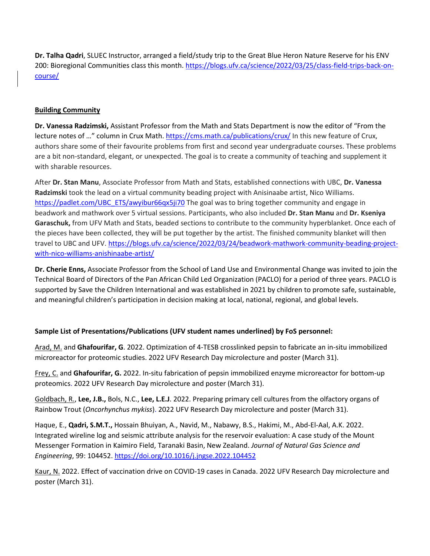**Dr. Talha Qadri**, SLUEC Instructor, arranged a field/study trip to the Great Blue Heron Nature Reserve for his ENV 200: Bioregional Communities class this month. [https://blogs.ufv.ca/science/2022/03/25/class-field-trips-back-on](https://blogs.ufv.ca/science/2022/03/25/class-field-trips-back-on-course/)[course/](https://blogs.ufv.ca/science/2022/03/25/class-field-trips-back-on-course/)

# **Building Community**

**Dr. Vanessa Radzimski,** Assistant Professor from the Math and Stats Department is now the editor of "From the lecture notes of …" column in Crux Math.<https://cms.math.ca/publications/crux/> In this new feature of Crux, authors share some of their favourite problems from first and second year undergraduate courses. These problems are a bit non-standard, elegant, or unexpected. The goal is to create a community of teaching and supplement it with sharable resources.

After **Dr. Stan Manu**, Associate Professor from Math and Stats, established connections with UBC, **Dr. Vanessa Radzimski** took the lead on a virtual community beading project with Anisinaabe artist, Nico Williams. [https://padlet.com/UBC\\_ETS/awyibur66qx5ji70](https://padlet.com/UBC_ETS/awyibur66qx5ji70) The goal was to bring together community and engage in beadwork and mathwork over 5 virtual sessions. Participants, who also included **Dr. Stan Manu** and **Dr. Kseniya Garaschuk,** from UFV Math and Stats, beaded sections to contribute to the community hyperblanket. Once each of the pieces have been collected, they will be put together by the artist. The finished community blanket will then travel to UBC and UFV. [https://blogs.ufv.ca/science/2022/03/24/beadwork-mathwork-community-beading-project](https://blogs.ufv.ca/science/2022/03/24/beadwork-mathwork-community-beading-project-with-nico-williams-anishinaabe-artist/)[with-nico-williams-anishinaabe-artist/](https://blogs.ufv.ca/science/2022/03/24/beadwork-mathwork-community-beading-project-with-nico-williams-anishinaabe-artist/) 

**Dr. Cherie Enns,** Associate Professor from the School of Land Use and Environmental Change was invited to join the Technical Board of Directors of the Pan African Child Led Organization (PACLO) for a period of three years. PACLO is supported by Save the Children International and was established in 2021 by children to promote safe, sustainable, and meaningful children's participation in decision making at local, national, regional, and global levels.

# **Sample List of Presentations/Publications (UFV student names underlined) by FoS personnel:**

Arad, M. and **Ghafourifar, G**. 2022. Optimization of 4-TESB crosslinked pepsin to fabricate an in-situ immobilized microreactor for proteomic studies. 2022 UFV Research Day microlecture and poster (March 31).

Frey, C. and **Ghafourifar, G.** 2022. In-situ fabrication of pepsin immobilized enzyme microreactor for bottom-up proteomics. 2022 UFV Research Day microlecture and poster (March 31).

Goldbach, R., **Lee, J.B.,** Bols, N.C., **Lee, L.E.J**. 2022. Preparing primary cell cultures from the olfactory organs of Rainbow Trout (*Oncorhynchus mykiss*). 2022 UFV Research Day microlecture and poster (March 31).

Haque, E., **Qadri, S.M.T.,** Hossain Bhuiyan, A., Navid, M., Nabawy, B.S., Hakimi, M., Abd-El-Aal, A.K. 2022. Integrated wireline log and seismic attribute analysis for the reservoir evaluation: A case study of the Mount Messenger Formation in Kaimiro Field, Taranaki Basin, New Zealand. *Journal of Natural Gas Science and Engineering*, 99: 104452.<https://doi.org/10.1016/j.jngse.2022.104452>

Kaur, N. 2022. Effect of vaccination drive on COVID-19 cases in Canada. 2022 UFV Research Day microlecture and poster (March 31).